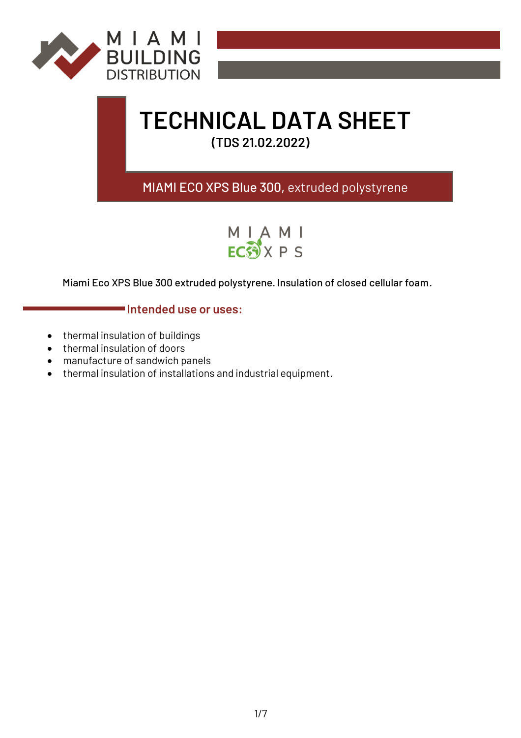

# **TECHNICAL DATA SHEET**

**(TDS 21.02.2022)**

# MIAMI ECO XPS Blue 300, extruded polystyrene



Miami Eco XPS Blue 300 extruded polystyrene. Insulation of closed cellular foam.

# **Intended use or uses:**

- thermal insulation of buildings
- thermal insulation of doors
- manufacture of sandwich panels
- thermal insulation of installations and industrial equipment.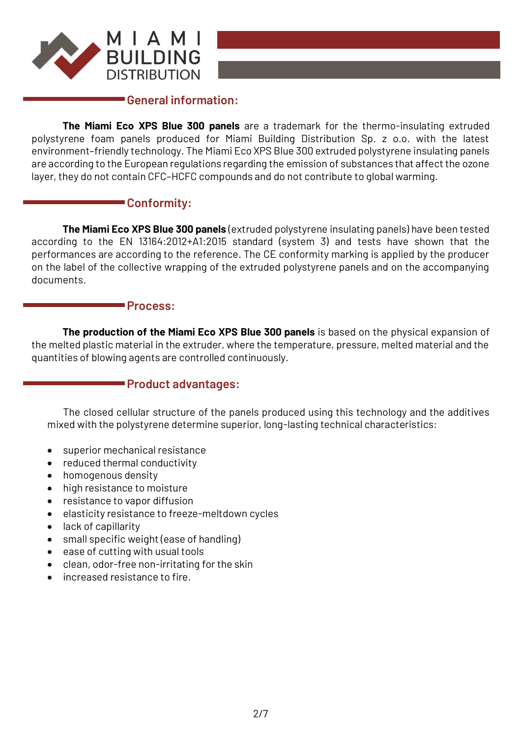

## **General information:**

**The Miami Eco XPS Blue 300 panels** are a trademark for the thermo-insulating extruded polystyrene foam panels produced for Miami Building Distribution Sp. z o.o. with the latest environment–friendly technology. The Miami Eco XPS Blue 300 extruded polystyrene insulating panels are according to the European regulations regarding the emission of substances that affect the ozone layer, they do not contain CFC–HCFC compounds and do not contribute to global warming.

## **Conformity:**

**The Miami Eco XPS Blue 300 panels** (extruded polystyrene insulating panels) have been tested according to the EN 13164:2012+A1:2015 standard (system 3) and tests have shown that the performances are according to the reference. The CE conformity marking is applied by the producer on the label of the collective wrapping of the extruded polystyrene panels and on the accompanying documents.

### **Process:**

**The production of the Miami Eco XPS Blue 300 panels** is based on the physical expansion of the melted plastic material in the extruder, where the temperature, pressure, melted material and the quantities of blowing agents are controlled continuously.

# **Product advantages:**

The closed cellular structure of the panels produced using this technology and the additives mixed with the polystyrene determine superior, long-lasting technical characteristics:

- superior mechanical resistance
- reduced thermal conductivity
- homogenous density
- high resistance to moisture
- resistance to vapor diffusion
- elasticity resistance to freeze-meltdown cycles
- lack of capillarity
- small specific weight (ease of handling)
- ease of cutting with usual tools
- clean, odor-free non-irritating for the skin
- increased resistance to fire.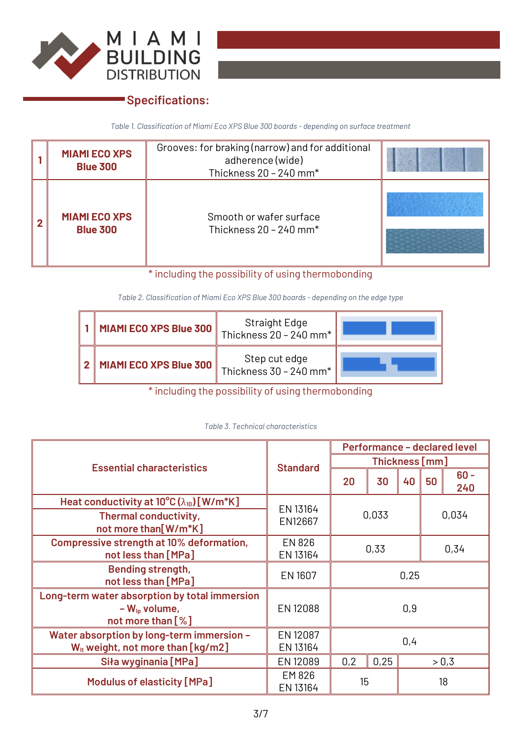

# **Specifications:**

*Table 1. Classification of Miami Eco XPS Blue 300 boards - depending on surface treatment*

| <b>MIAMI ECO XPS</b><br><b>Blue 300</b> | Grooves: for braking (narrow) and for additional<br>adherence (wide)<br>Thickness 20 - 240 mm* |  |
|-----------------------------------------|------------------------------------------------------------------------------------------------|--|
| <b>MIAMI ECO XPS</b><br><b>Blue 300</b> | Smooth or wafer surface<br>Thickness $20 - 240$ mm <sup>*</sup>                                |  |

\* including the possibility of using thermobonding

*Table 2. Classification of Miami Eco XPS Blue 300 boards - depending on the edge type*

| <b>MIAMI ECO XPS Blue 300</b> | Straight Edge<br>Thickness $20 - 240$ mm <sup>*</sup> |  |
|-------------------------------|-------------------------------------------------------|--|
| 2   MIAMI ECO XPS Blue 300    | Step cut edge<br>Thickness 30 - $240$ mm <sup>*</sup> |  |

\* including the possibility of using thermobonding

|  |  |  | Table 3. Technical characteristics |
|--|--|--|------------------------------------|
|--|--|--|------------------------------------|

|                                                                                                |                           | <b>Performance - declared level</b> |                |    |       |               |  |
|------------------------------------------------------------------------------------------------|---------------------------|-------------------------------------|----------------|----|-------|---------------|--|
| <b>Essential characteristics</b>                                                               | <b>Standard</b>           |                                     | Thickness [mm] |    |       |               |  |
|                                                                                                |                           | 20                                  | 30             | 40 | 50    | $60 -$<br>240 |  |
| Heat conductivity at $10^{\circ}C(\lambda_{10})$ [W/m*K]                                       | EN 13164                  |                                     |                |    |       |               |  |
| Thermal conductivity,<br>not more than[W/m*K]                                                  | EN12667                   |                                     | 0,033          |    | 0,034 |               |  |
| Compressive strength at 10% deformation,<br>not less than [MPa]                                | <b>EN 826</b><br>EN 13164 | 0,33<br>0,34                        |                |    |       |               |  |
| <b>Bending strength,</b><br>not less than [MPa]                                                | EN 1607                   | 0,25                                |                |    |       |               |  |
| Long-term water absorption by total immersion<br>$-W_{\text{lo}}$ volume,<br>not more than [%] | EN 12088                  | 0,9                                 |                |    |       |               |  |
| Water absorption by long-term immersion -<br>$W_{it}$ weight, not more than [kg/m2]            | EN 12087<br>EN 13164      | 0,4                                 |                |    |       |               |  |
| Siła wyginania [MPa]                                                                           | EN 12089                  | 0,25<br>0,2<br>> 0.3                |                |    |       |               |  |
| Modulus of elasticity [MPa]                                                                    | EM 826<br>EN 13164        | 15<br>18                            |                |    |       |               |  |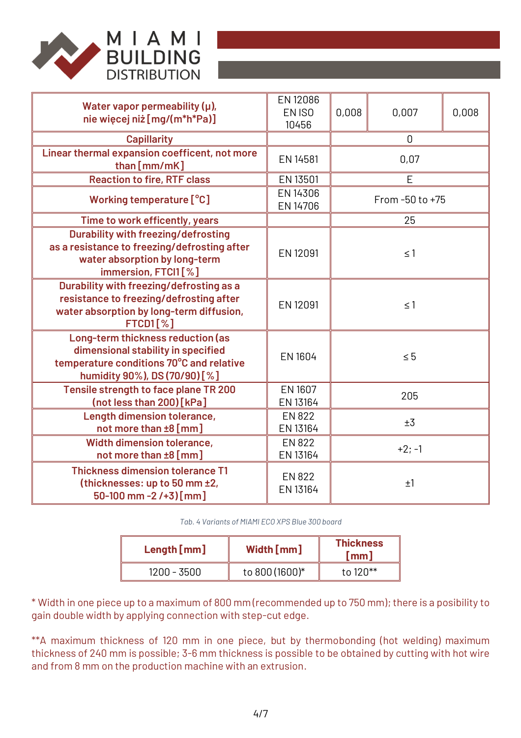

| Water vapor permeability $(\mu)$ ,<br>nie więcej niż [mg/(m*h*Pa)]                                                                                   | EN 12086<br>EN ISO<br>10456 | 0,008    | 0,007           | 0,008 |
|------------------------------------------------------------------------------------------------------------------------------------------------------|-----------------------------|----------|-----------------|-------|
| <b>Capillarity</b>                                                                                                                                   |                             |          | $\Omega$        |       |
| Linear thermal expansion coefficent, not more<br>than [mm/mK]                                                                                        | EN 14581                    |          | 0,07            |       |
| <b>Reaction to fire, RTF class</b>                                                                                                                   | EN 13501                    |          | E               |       |
| Working temperature [°C]                                                                                                                             | EN 14306<br>EN 14706        |          | From -50 to +75 |       |
| Time to work efficently, years                                                                                                                       |                             |          | 25              |       |
| <b>Durability with freezing/defrosting</b><br>as a resistance to freezing/defrosting after<br>water absorption by long-term<br>immersion, FTCI1[%]   | EN 12091                    | $\leq 1$ |                 |       |
| Durability with freezing/defrosting as a<br>resistance to freezing/defrosting after<br>water absorption by long-term diffusion,<br><b>FTCD1[%]</b>   | EN 12091                    | $\leq 1$ |                 |       |
| Long-term thickness reduction (as<br>dimensional stability in specified<br>temperature conditions 70°C and relative<br>humidity 90%), DS (70/90) [%] | EN 1604                     | $\leq 5$ |                 |       |
| Tensile strength to face plane TR 200<br>(not less than 200) [kPa]                                                                                   | EN 1607<br>EN 13164         | 205      |                 |       |
| Length dimension tolerance,<br>not more than ±8 [mm]                                                                                                 | <b>EN 822</b><br>EN 13164   | ±3       |                 |       |
| Width dimension tolerance,<br>not more than ±8 [mm]                                                                                                  | <b>EN 822</b><br>EN 13164   | $+2; -1$ |                 |       |
| <b>Thickness dimension tolerance T1</b><br>(thicknesses: up to 50 mm ±2,<br>$50-100$ mm $-2$ /+3) [mm]                                               | <b>EN 822</b><br>EN 13164   | ±1       |                 |       |

*Tab. 4 Variants of MIAMI ECO XPS Blue 300 board*

| Length[mm]  | Width [mm]     | <b>Thickness</b><br>[mm] |
|-------------|----------------|--------------------------|
| 1200 - 3500 | to 800 (1600)* | to 120**                 |

\* Width in one piece up to a maximum of 800 mm (recommended up to 750 mm); there is a posibility to gain double width by applying connection with step-cut edge.

\*\*A maximum thickness of 120 mm in one piece, but by thermobonding (hot welding) maximum thickness of 240 mm is possible; 3-6 mm thickness is possible to be obtained by cutting with hot wire and from 8 mm on the production machine with an extrusion.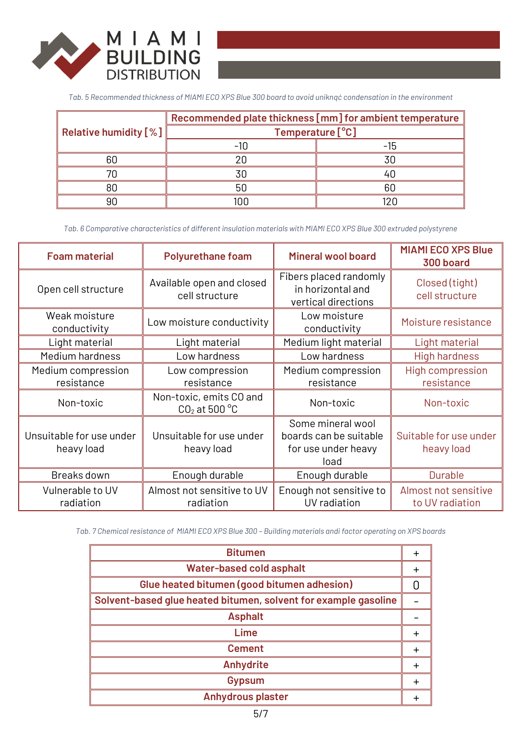

*Tab. 5 Recommended thickness of MIAMI ECO XPS Blue 300 board to avoid uniknąć condensation in the environment*

|                              | Recommended plate thickness [mm] for ambient temperature |    |  |
|------------------------------|----------------------------------------------------------|----|--|
| <b>Relative humidity [%]</b> | Temperature [°C]                                         |    |  |
|                              |                                                          |    |  |
| 60                           |                                                          | 30 |  |
|                              |                                                          |    |  |
| RΠ                           | 50                                                       | 60 |  |
|                              |                                                          |    |  |

*Tab. 6 Comparative characteristics of different insulation materials with MIAMI ECO XPS Blue 300 extruded polystyrene*

| <b>Foam material</b>                   | <b>Polyurethane foam</b>                             | <b>Mineral wool board</b>                                                  | <b>MIAMI ECO XPS Blue</b><br>300 board  |
|----------------------------------------|------------------------------------------------------|----------------------------------------------------------------------------|-----------------------------------------|
| Open cell structure                    | Available open and closed<br>cell structure          | Fibers placed randomly<br>in horizontal and<br>vertical directions         | Closed (tight)<br>cell structure        |
| Weak moisture<br>conductivity          | Low moisture conductivity                            | Low moisture<br>conductivity                                               | Moisture resistance                     |
| Light material                         | Light material                                       | Medium light material                                                      | Light material                          |
| Medium hardness                        | Low hardness                                         | Low hardness                                                               | <b>High hardness</b>                    |
| Medium compression<br>resistance       | Low compression<br>resistance                        | Medium compression<br>resistance                                           | <b>High compression</b><br>resistance   |
| Non-toxic                              | Non-toxic, emits CO and<br>$CO2$ at 500 $^{\circ}$ C | Non-toxic                                                                  | Non-toxic                               |
| Unsuitable for use under<br>heavy load | Unsuitable for use under<br>heavy load               | Some mineral wool<br>boards can be suitable<br>for use under heavy<br>load | Suitable for use under<br>heavy load    |
| Breaks down                            | Enough durable                                       | Enough durable                                                             | <b>Durable</b>                          |
| Vulnerable to UV<br>radiation          | Almost not sensitive to UV<br>radiation              | Enough not sensitive to<br>UV radiation                                    | Almost not sensitive<br>to UV radiation |

*Tab. 7 Chemical resistance of MIAMI ECO XPS Blue 300 – Building materials andi factor operating on XPS boards*

| <b>Bitumen</b>                                                  |           |
|-----------------------------------------------------------------|-----------|
| <b>Water-based cold asphalt</b>                                 | $\ddot{}$ |
| Glue heated bitumen (good bitumen adhesion)                     |           |
| Solvent-based glue heated bitumen, solvent for example gasoline |           |
| <b>Asphalt</b>                                                  |           |
| Lime                                                            | $\pm$     |
| <b>Cement</b>                                                   | ┿         |
| <b>Anhydrite</b>                                                | $\pm$     |
| <b>Gypsum</b>                                                   | $\pm$     |
| <b>Anhydrous plaster</b>                                        |           |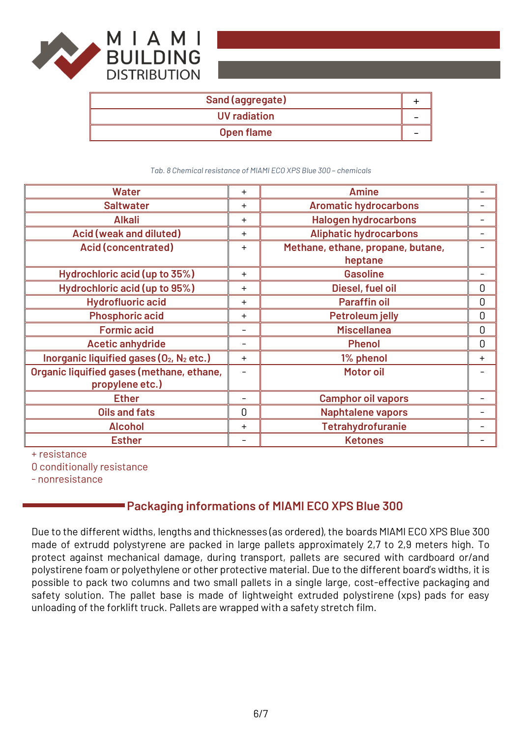

| Sand (aggregate) |  |
|------------------|--|
| UV radiation     |  |
| Open flame       |  |

*Tab. 8 Chemical resistance of MIAMI ECO XPS Blue 300 – chemicals*

| <b>Water</b>                                                     | $+$     | <b>Amine</b>                                 |             |
|------------------------------------------------------------------|---------|----------------------------------------------|-------------|
| <b>Saltwater</b>                                                 | $+$     | <b>Aromatic hydrocarbons</b>                 |             |
| <b>Alkali</b>                                                    | $+$     | <b>Halogen hydrocarbons</b>                  |             |
| Acid (weak and diluted)                                          | $+$     | <b>Aliphatic hydrocarbons</b>                |             |
| <b>Acid (concentrated)</b>                                       | $+$     | Methane, ethane, propane, butane,<br>heptane |             |
| Hydrochloric acid (up to 35%)                                    | $+$     | <b>Gasoline</b>                              |             |
| Hydrochloric acid (up to 95%)                                    | $\ddag$ | Diesel, fuel oil                             | 0           |
| <b>Hydrofluoric acid</b>                                         | $+$     | <b>Paraffin oil</b>                          | 0           |
| <b>Phosphoric acid</b>                                           | $+$     | <b>Petroleum jelly</b>                       | 0           |
| <b>Formic acid</b>                                               |         | <b>Miscellanea</b>                           | $\mathbf 0$ |
| <b>Acetic anhydride</b>                                          |         | <b>Phenol</b>                                | 0           |
| Inorganic liquified gases (O <sub>2</sub> , N <sub>2</sub> etc.) | $+$     | 1% phenol                                    | $+$         |
| Organic liquified gases (methane, ethane,<br>propylene etc.)     |         | <b>Motor oil</b>                             |             |
| <b>Ether</b>                                                     |         | <b>Camphor oil vapors</b>                    |             |
| <b>Oils and fats</b>                                             | 0       | <b>Naphtalene vapors</b>                     |             |
| <b>Alcohol</b>                                                   | $+$     | <b>Tetrahydrofuranie</b>                     |             |
| <b>Esther</b>                                                    |         | <b>Ketones</b>                               |             |

+ resistance

0 conditionally resistance

- nonresistance

# **Packaging informations of MIAMI ECO XPS Blue 300**

Due to the different widths, lengths and thicknesses (as ordered), the boards MIAMI ECO XPS Blue 300 made of extrudd polystyrene are packed in large pallets approximately 2,7 to 2,9 meters high. To protect against mechanical damage, during transport, pallets are secured with cardboard or/and polystirene foam or polyethylene or other protective material. Due to the different board's widths, it is possible to pack two columns and two small pallets in a single large, cost-effective packaging and safety solution. The pallet base is made of lightweight extruded polystirene (xps) pads for easy unloading of the forklift truck. Pallets are wrapped with a safety stretch film.